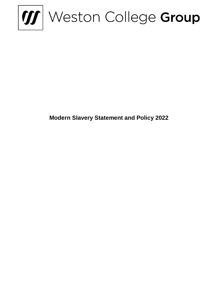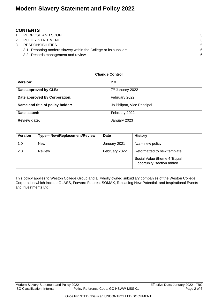## **CONTENTS**

#### **Change Control**

| <b>Version:</b>                  | 2.0                          |  |
|----------------------------------|------------------------------|--|
| Date approved by CLB:            | 7 <sup>th</sup> January 2022 |  |
| Date approved by Corporation:    | February 2022                |  |
| Name and title of policy holder: | Jo Philpott, Vice Principal  |  |
| Date issued:                     | February 2022                |  |
| <b>Review date:</b>              | January 2023                 |  |

| <b>Version</b> | Type - New/Replacement/Review | <b>Date</b>   | <b>History</b>                                              |
|----------------|-------------------------------|---------------|-------------------------------------------------------------|
| 1.0            | <b>New</b>                    | January 2021  | $N/a$ – new policy                                          |
| 2.0            | Review                        | February 2022 | Reformatted to new template.                                |
|                |                               |               | Social Value (theme 4 'Equal<br>Opportunity' section added. |

This policy applies to Weston College Group and all wholly owned subsidiary companies of the Weston College Corporation which include OLASS, Forward Futures, SOMAX, Releasing New Potential, and Inspirational Events and Investments Ltd.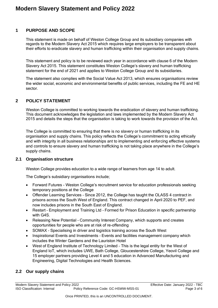### <span id="page-2-0"></span>**1 PURPOSE AND SCOPE**

This statement is made on behalf of Weston College Group and its subsidiary companies with regards to the Modern Slavery Act 2015 which requires large employers to be transparent about their efforts to eradicate slavery and human trafficking within their organisation and supply chains.

This statement and policy is to be reviewed each year in accordance with clause 6 of the Modern Slavery Act 2015. This statement constitutes Weston College's slavery and human trafficking statement for the end of 2021 and applies to Weston College Group and its subsidiaries.

The statement also complies with the Social Value Act 2013, which ensures organisations review the wider social, economic and environmental benefits of public services, including the FE and HE sector.

### <span id="page-2-1"></span>**2 POLICY STATEMENT**

Weston College is committed to working towards the eradication of slavery and human trafficking. This document acknowledges the legislation and laws implemented by the Modern Slavery Act 2015 and details the steps that the organisation is taking to work towards the provision of the Act.

The College is committed to ensuring that there is no slavery or human trafficking in its organisation and supply chains. This policy reflects the College's commitment to acting ethically and with integrity in all business relationships ant to implementing and enforcing effective systems and controls to ensure slavery and human trafficking is not taking place anywhere in the College's supply chains.

#### **2.1 Organisation structure**

Weston College provides education to a wide range of learners from age 14 to adult.

The College's subsidiary organisations include;

- Forward Futures Weston College's recruitment service for education professionals seeking temporary positions at the College
- Offender Learning Services Since 2012, the College has taught the OLASS 4 contract in prisons across the South West of England. This contract changed in April 2020 to PEF, and now includes prisons in the South East of England.
- Restart Employment and Training Ltd Formed for Prison Education in specific partnership with G4S
- Releasing New Potential Community Interest Company, which supports and creates opportunities for people who are at risk of re-offending
- SOMAX Specialising in driver and logistics training across the South West
- Inspirational Events and Investments Events and facilities management company which includes the Winter Gardens and the Lauriston Hotel
- West of England Institute of Technology Limited This is the legal entity for the West of England IoT, which includes UWE, Bath College, Gloucestershire College, Yeovil College and 15 employer partners providing Level 4 and 5 education in Advanced Manufacturing and Engineering, Digital Technologies and Health Sciences.

### **2.2 Our supply chains**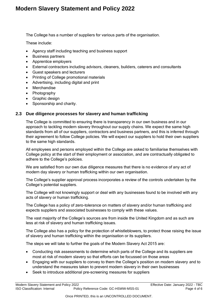The College has a number of suppliers for various parts of the organisation.

These include:

- Agency staff including teaching and business support
- Business partners
- Apprentice employers
- External contractors including advisors, cleaners, builders, caterers and consultants
- Guest speakers and lecturers
- Printing of College promotional materials
- Advertising, including digital and print
- Merchandise
- Photography
- Graphic design
- Sponsorship and charity.

### **2.3 Due diligence processes for slavery and human trafficking**

The College is committed to ensuring there is transparency in our own business and in our approach to tackling modern slavery throughout our supply chains. We expect the same high standards from all of our suppliers, contractors and business partners, and this is inferred through their agreement to follow College policies. We will expect our suppliers to hold their own suppliers to the same high standards.

All employees and persons employed within the College are asked to familiarise themselves with College policy at the start of their employment or association, and are contractually obligated to adhere to the College's policies.

We are satisfied from our own due diligence measures that there is no evidence of any act of modern day slavery or human trafficking within our own organisation.

The College's supplier approval process incorporates a review of the controls undertaken by the College's potential suppliers.

The College will not knowingly support or deal with any businesses found to be involved with any acts of slavery or human trafficking.

The College has a policy of zero-tolerance on matters of slavery and/or human trafficking and expects suppliers and associated businesses to comply with these values.

The vast majority of the College's sources are from inside the United Kingdom and as such are less at risk of slavery and human trafficking issues.

The College also has a policy for the protection of whistleblowers, to protect those raising the issue of slavery and human trafficking within the organisation or its suppliers.

The steps we will take to further the goals of the Modern Slavery Act 2015 are:

- Conducting risk assessments to determine which parts of the College and its suppliers are most at risk of modern slavery so that efforts can be focussed on those areas
- Engaging with our suppliers to convey to them the College's position on modern slavery and to understand the measures taken to prevent modern slavery in their own businesses
- Seek to introduce additional pre-screening measures for suppliers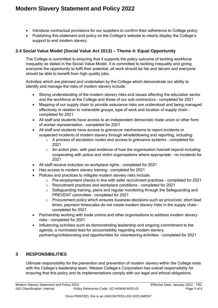- Introduce contractual provisions for our suppliers to confirm their adherence to College policy
- Publishing this statement and policy on the College's website to clearly display the College's support to end modern slavery.

## **2.4 Social Value Model (Social Value Act 2013) – Theme 4: Equal Opportunity**

The College is committed to ensuring that it supports the policy outcome of tackling workforce inequality as stated in the Social Value Model. It is committed to tackling inequality and giving everyone the opportunity to fulfil their potential, all work should be fair and decent and everyone should be able to benefit from high quality jobs.

Activities which are planned and undertaken by the College which demonstrate our ability to identify and manage the risks of modern slavery include:

- Strong understanding of the modern slavery risks and issues affecting the education sector and the workforce at the College and those of our sub-contractors – completed for 2021
- Mapping of our supply chain to provide assurance risks are understood and being managed effectively in relation to vulnerable groups, type of work and location of supply chain – completed for 2021
- All staff and students have access to an independent democratic trade union or other form of worker representation – completed for 2021
- All staff and students have access to grievance mechanisms to report incidents or suspected incidents of modern slavery through whistleblowing and reporting, including:
	- $\circ$  A process of escalation routes and access to grievance systems completed for 2021
	- $\circ$  An action plan, with past evidence of how the organisation has/will repond including cooperating with police and victim organisations where appropriate – no incidents for 2021
- All staff receive induction on workplace rights completed for 2021
- Has access to modern slavery training completed for 2021
- Policies and practices to mitigate modern slavery risks include:
	- $\circ$  Pre-employment checks in line with safer recruitment practices completed for 2021
	- o Recruitment practices and workplace conditions completed for 2021
	- $\circ$  Safeguarding training, plans and regular monitoring through the Safeguarding and PREVENT committee – completed for 2021
	- o Procurement policy which ensures business decisions such as price/cost, short lead times, payment timescales do not create modern slavery risks in the supply chain – completed for 2021
- Partnership working with trade unions and other organisations to address modern slavery risks – completed for 2021
- Influencing activities such as demonstrating leadership and ongoing commitment to the agenda, a nominated lead for accountability regarding modern slavery, partnering/collaborating and opportunities for volunteering activities – completed for 2021

## <span id="page-4-0"></span>**3 RESPONSIBILITIES**

Ultimate responsibility for the prevention and prevention of modern slavery within the College rests with the College's leadership team. Weston College's Corporation has overall responsibility for ensuring that this policy and its implementations comply with our legal and ethical obligations.